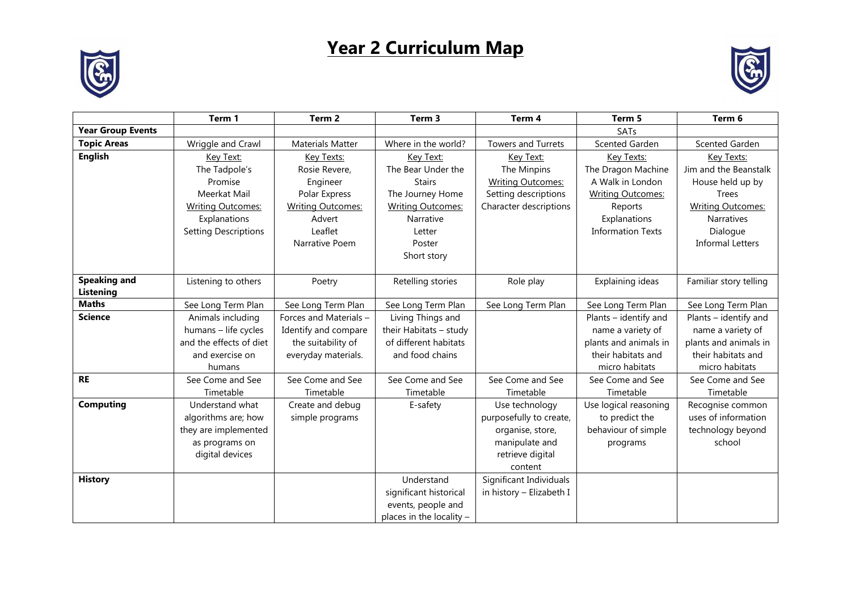## **Year 2 Curriculum Map**





|                          | Term 1                      | Term <sub>2</sub>        | Term 3                   | Term 4                    | Term 5                   | Term 6                   |
|--------------------------|-----------------------------|--------------------------|--------------------------|---------------------------|--------------------------|--------------------------|
| <b>Year Group Events</b> |                             |                          |                          |                           | SATs                     |                          |
| <b>Topic Areas</b>       | Wriggle and Crawl           | <b>Materials Matter</b>  | Where in the world?      | <b>Towers and Turrets</b> | Scented Garden           | Scented Garden           |
| <b>English</b>           | Key Text:                   | Key Texts:               | Key Text:                | Key Text:                 | Key Texts:               | Key Texts:               |
|                          | The Tadpole's               | Rosie Revere,            | The Bear Under the       | The Minpins               | The Dragon Machine       | Jim and the Beanstalk    |
|                          | Promise                     | Engineer                 | <b>Stairs</b>            | <b>Writing Outcomes:</b>  | A Walk in London         | House held up by         |
|                          | Meerkat Mail                | Polar Express            | The Journey Home         | Setting descriptions      | <b>Writing Outcomes:</b> | <b>Trees</b>             |
|                          | <b>Writing Outcomes:</b>    | <b>Writing Outcomes:</b> | <b>Writing Outcomes:</b> | Character descriptions    | Reports                  | <b>Writing Outcomes:</b> |
|                          | Explanations                | Advert                   | Narrative                |                           | Explanations             | Narratives               |
|                          | <b>Setting Descriptions</b> | Leaflet                  | Letter                   |                           | <b>Information Texts</b> | Dialogue                 |
|                          |                             | Narrative Poem           | Poster                   |                           |                          | <b>Informal Letters</b>  |
|                          |                             |                          | Short story              |                           |                          |                          |
|                          |                             |                          |                          |                           |                          |                          |
| <b>Speaking and</b>      | Listening to others         | Poetry                   | Retelling stories        | Role play                 | Explaining ideas         | Familiar story telling   |
| Listening                |                             |                          |                          |                           |                          |                          |
| <b>Maths</b>             | See Long Term Plan          | See Long Term Plan       | See Long Term Plan       | See Long Term Plan        | See Long Term Plan       | See Long Term Plan       |
| <b>Science</b>           | Animals including           | Forces and Materials -   | Living Things and        |                           | Plants - identify and    | Plants - identify and    |
|                          | humans - life cycles        | Identify and compare     | their Habitats - study   |                           | name a variety of        | name a variety of        |
|                          | and the effects of diet     | the suitability of       | of different habitats    |                           | plants and animals in    | plants and animals in    |
|                          | and exercise on             | everyday materials.      | and food chains          |                           | their habitats and       | their habitats and       |
|                          | humans                      |                          |                          |                           | micro habitats           | micro habitats           |
| <b>RE</b>                | See Come and See            | See Come and See         | See Come and See         | See Come and See          | See Come and See         | See Come and See         |
|                          | Timetable                   | Timetable                | Timetable                | Timetable                 | Timetable                | Timetable                |
| <b>Computing</b>         | Understand what             | Create and debug         | E-safety                 | Use technology            | Use logical reasoning    | Recognise common         |
|                          | algorithms are; how         | simple programs          |                          | purposefully to create,   | to predict the           | uses of information      |
|                          | they are implemented        |                          |                          | organise, store,          | behaviour of simple      | technology beyond        |
|                          | as programs on              |                          |                          | manipulate and            | programs                 | school                   |
|                          | digital devices             |                          |                          | retrieve digital          |                          |                          |
|                          |                             |                          |                          | content                   |                          |                          |
| <b>History</b>           |                             |                          | Understand               | Significant Individuals   |                          |                          |
|                          |                             |                          | significant historical   | in history - Elizabeth I  |                          |                          |
|                          |                             |                          | events, people and       |                           |                          |                          |
|                          |                             |                          | places in the locality - |                           |                          |                          |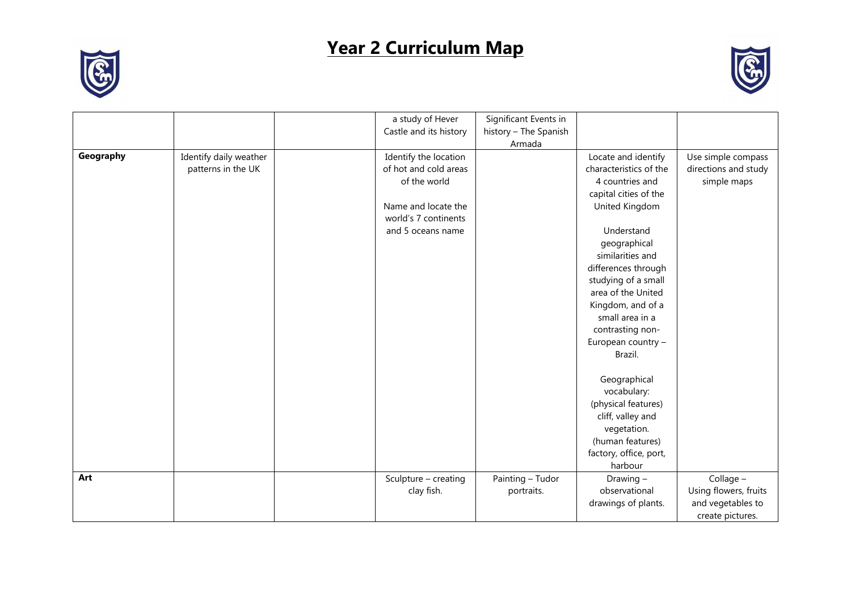## **Year 2 Curriculum Map**



|           |                        | a study of Hever       | Significant Events in |                        |                       |
|-----------|------------------------|------------------------|-----------------------|------------------------|-----------------------|
|           |                        | Castle and its history | history - The Spanish |                        |                       |
|           |                        |                        | Armada                |                        |                       |
| Geography | Identify daily weather | Identify the location  |                       | Locate and identify    | Use simple compass    |
|           | patterns in the UK     | of hot and cold areas  |                       | characteristics of the | directions and study  |
|           |                        | of the world           |                       | 4 countries and        | simple maps           |
|           |                        |                        |                       | capital cities of the  |                       |
|           |                        | Name and locate the    |                       | United Kingdom         |                       |
|           |                        | world's 7 continents   |                       |                        |                       |
|           |                        | and 5 oceans name      |                       | Understand             |                       |
|           |                        |                        |                       | geographical           |                       |
|           |                        |                        |                       | similarities and       |                       |
|           |                        |                        |                       | differences through    |                       |
|           |                        |                        |                       | studying of a small    |                       |
|           |                        |                        |                       | area of the United     |                       |
|           |                        |                        |                       | Kingdom, and of a      |                       |
|           |                        |                        |                       | small area in a        |                       |
|           |                        |                        |                       | contrasting non-       |                       |
|           |                        |                        |                       | European country -     |                       |
|           |                        |                        |                       | Brazil.                |                       |
|           |                        |                        |                       | Geographical           |                       |
|           |                        |                        |                       | vocabulary:            |                       |
|           |                        |                        |                       | (physical features)    |                       |
|           |                        |                        |                       | cliff, valley and      |                       |
|           |                        |                        |                       | vegetation.            |                       |
|           |                        |                        |                       | (human features)       |                       |
|           |                        |                        |                       | factory, office, port, |                       |
|           |                        |                        |                       | harbour                |                       |
| Art       |                        | Sculpture - creating   | Painting - Tudor      | Drawing -              | Collage -             |
|           |                        | clay fish.             | portraits.            | observational          | Using flowers, fruits |
|           |                        |                        |                       | drawings of plants.    | and vegetables to     |
|           |                        |                        |                       |                        | create pictures.      |